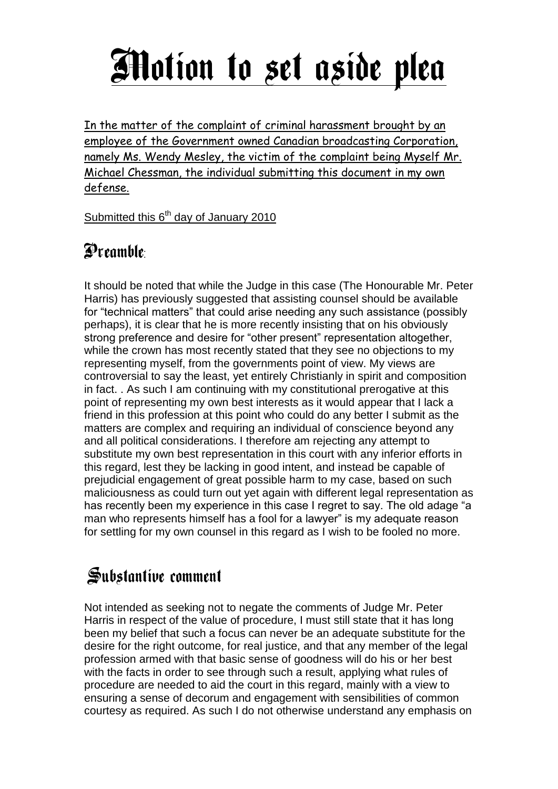## **Motion to set aside plea**

In the matter of the complaint of criminal harassment brought by an employee of the Government owned Canadian broadcasting Corporation, namely Ms. Wendy Mesley, the victim of the complaint being Myself Mr. Michael Chessman, the individual submitting this document in my own defense.

Submitted this 6<sup>th</sup> day of January 2010

## Preamble:

It should be noted that while the Judge in this case (The Honourable Mr. Peter Harris) has previously suggested that assisting counsel should be available for "technical matters" that could arise needing any such assistance (possibly perhaps), it is clear that he is more recently insisting that on his obviously strong preference and desire for "other present" representation altogether, while the crown has most recently stated that they see no objections to my representing myself, from the governments point of view. My views are controversial to say the least, yet entirely Christianly in spirit and composition in fact. . As such I am continuing with my constitutional prerogative at this point of representing my own best interests as it would appear that I lack a friend in this profession at this point who could do any better I submit as the matters are complex and requiring an individual of conscience beyond any and all political considerations. I therefore am rejecting any attempt to substitute my own best representation in this court with any inferior efforts in this regard, lest they be lacking in good intent, and instead be capable of prejudicial engagement of great possible harm to my case, based on such maliciousness as could turn out yet again with different legal representation as has recently been my experience in this case I regret to say. The old adage "a man who represents himself has a fool for a lawyer" is my adequate reason for settling for my own counsel in this regard as I wish to be fooled no more.

## Substantive comment

Not intended as seeking not to negate the comments of Judge Mr. Peter Harris in respect of the value of procedure, I must still state that it has long been my belief that such a focus can never be an adequate substitute for the desire for the right outcome, for real justice, and that any member of the legal profession armed with that basic sense of goodness will do his or her best with the facts in order to see through such a result, applying what rules of procedure are needed to aid the court in this regard, mainly with a view to ensuring a sense of decorum and engagement with sensibilities of common courtesy as required. As such I do not otherwise understand any emphasis on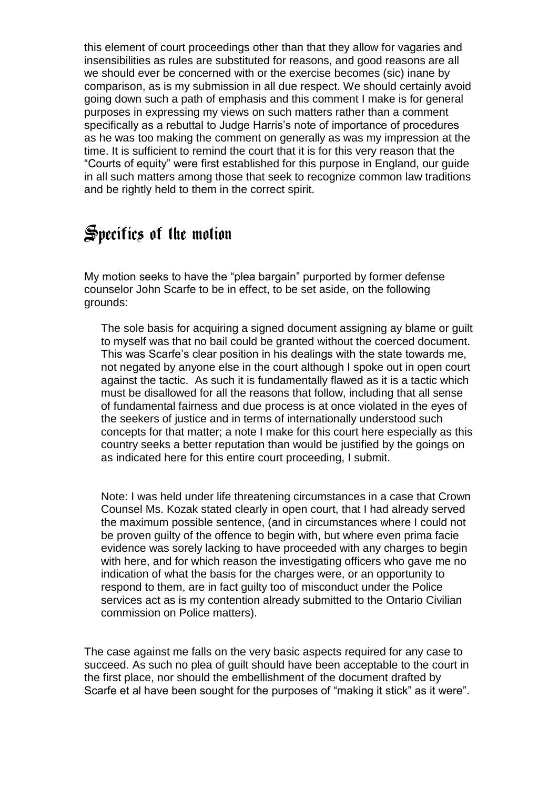this element of court proceedings other than that they allow for vagaries and insensibilities as rules are substituted for reasons, and good reasons are all we should ever be concerned with or the exercise becomes (sic) inane by comparison, as is my submission in all due respect. We should certainly avoid going down such a path of emphasis and this comment I make is for general purposes in expressing my views on such matters rather than a comment specifically as a rebuttal to Judge Harris's note of importance of procedures as he was too making the comment on generally as was my impression at the time. It is sufficient to remind the court that it is for this very reason that the "Courts of equity" were first established for this purpose in England, our guide in all such matters among those that seek to recognize common law traditions and be rightly held to them in the correct spirit.

## Specifics of the motion

My motion seeks to have the "plea bargain" purported by former defense counselor John Scarfe to be in effect, to be set aside, on the following grounds:

The sole basis for acquiring a signed document assigning ay blame or guilt to myself was that no bail could be granted without the coerced document. This was Scarfe's clear position in his dealings with the state towards me, not negated by anyone else in the court although I spoke out in open court against the tactic. As such it is fundamentally flawed as it is a tactic which must be disallowed for all the reasons that follow, including that all sense of fundamental fairness and due process is at once violated in the eyes of the seekers of justice and in terms of internationally understood such concepts for that matter; a note I make for this court here especially as this country seeks a better reputation than would be justified by the goings on as indicated here for this entire court proceeding, I submit.

Note: I was held under life threatening circumstances in a case that Crown Counsel Ms. Kozak stated clearly in open court, that I had already served the maximum possible sentence, (and in circumstances where I could not be proven guilty of the offence to begin with, but where even prima facie evidence was sorely lacking to have proceeded with any charges to begin with here, and for which reason the investigating officers who gave me no indication of what the basis for the charges were, or an opportunity to respond to them, are in fact guilty too of misconduct under the Police services act as is my contention already submitted to the Ontario Civilian commission on Police matters).

The case against me falls on the very basic aspects required for any case to succeed. As such no plea of guilt should have been acceptable to the court in the first place, nor should the embellishment of the document drafted by Scarfe et al have been sought for the purposes of "making it stick" as it were".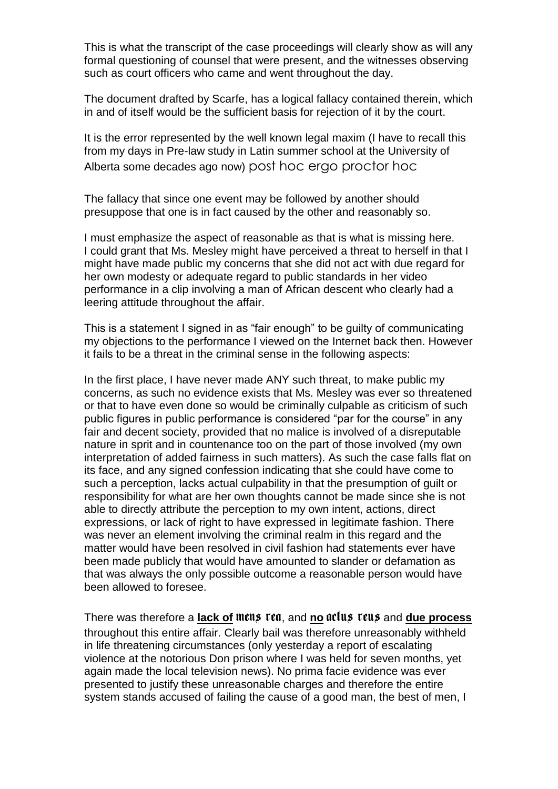This is what the transcript of the case proceedings will clearly show as will any formal questioning of counsel that were present, and the witnesses observing such as court officers who came and went throughout the day.

The document drafted by Scarfe, has a logical fallacy contained therein, which in and of itself would be the sufficient basis for rejection of it by the court.

It is the error represented by the well known legal maxim (I have to recall this from my days in Pre-law study in Latin summer school at the University of Alberta some decades ago now) post hoc ergo proctor hoc

The fallacy that since one event may be followed by another should presuppose that one is in fact caused by the other and reasonably so.

I must emphasize the aspect of reasonable as that is what is missing here. I could grant that Ms. Mesley might have perceived a threat to herself in that I might have made public my concerns that she did not act with due regard for her own modesty or adequate regard to public standards in her video performance in a clip involving a man of African descent who clearly had a leering attitude throughout the affair.

This is a statement I signed in as "fair enough" to be guilty of communicating my objections to the performance I viewed on the Internet back then. However it fails to be a threat in the criminal sense in the following aspects:

In the first place, I have never made ANY such threat, to make public my concerns, as such no evidence exists that Ms. Mesley was ever so threatened or that to have even done so would be criminally culpable as criticism of such public figures in public performance is considered "par for the course" in any fair and decent society, provided that no malice is involved of a disreputable nature in sprit and in countenance too on the part of those involved (my own interpretation of added fairness in such matters). As such the case falls flat on its face, and any signed confession indicating that she could have come to such a perception, lacks actual culpability in that the presumption of guilt or responsibility for what are her own thoughts cannot be made since she is not able to directly attribute the perception to my own intent, actions, direct expressions, or lack of right to have expressed in legitimate fashion. There was never an element involving the criminal realm in this regard and the matter would have been resolved in civil fashion had statements ever have been made publicly that would have amounted to slander or defamation as that was always the only possible outcome a reasonable person would have been allowed to foresee.

There was therefore a **lack of** mens rea, and **no** actus reus and **due process** throughout this entire affair. Clearly bail was therefore unreasonably withheld in life threatening circumstances (only yesterday a report of escalating violence at the notorious Don prison where I was held for seven months, yet again made the local television news). No prima facie evidence was ever presented to justify these unreasonable charges and therefore the entire system stands accused of failing the cause of a good man, the best of men, I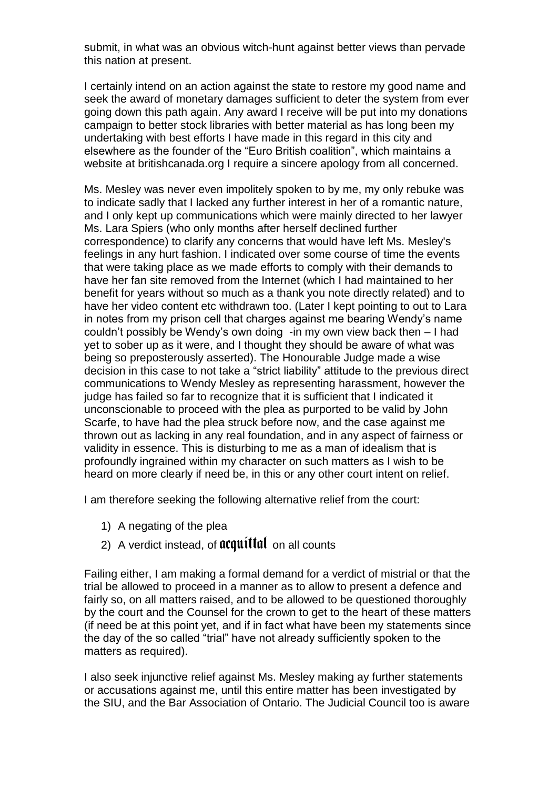submit, in what was an obvious witch-hunt against better views than pervade this nation at present.

I certainly intend on an action against the state to restore my good name and seek the award of monetary damages sufficient to deter the system from ever going down this path again. Any award I receive will be put into my donations campaign to better stock libraries with better material as has long been my undertaking with best efforts I have made in this regard in this city and elsewhere as the founder of the "Euro British coalition", which maintains a website at britishcanada.org I require a sincere apology from all concerned.

Ms. Mesley was never even impolitely spoken to by me, my only rebuke was to indicate sadly that I lacked any further interest in her of a romantic nature, and I only kept up communications which were mainly directed to her lawyer Ms. Lara Spiers (who only months after herself declined further correspondence) to clarify any concerns that would have left Ms. Mesley's feelings in any hurt fashion. I indicated over some course of time the events that were taking place as we made efforts to comply with their demands to have her fan site removed from the Internet (which I had maintained to her benefit for years without so much as a thank you note directly related) and to have her video content etc withdrawn too. (Later I kept pointing to out to Lara in notes from my prison cell that charges against me bearing Wendy's name couldn't possibly be Wendy's own doing -in my own view back then – I had yet to sober up as it were, and I thought they should be aware of what was being so preposterously asserted). The Honourable Judge made a wise decision in this case to not take a "strict liability" attitude to the previous direct communications to Wendy Mesley as representing harassment, however the judge has failed so far to recognize that it is sufficient that I indicated it unconscionable to proceed with the plea as purported to be valid by John Scarfe, to have had the plea struck before now, and the case against me thrown out as lacking in any real foundation, and in any aspect of fairness or validity in essence. This is disturbing to me as a man of idealism that is profoundly ingrained within my character on such matters as I wish to be heard on more clearly if need be, in this or any other court intent on relief.

I am therefore seeking the following alternative relief from the court:

- 1) A negating of the plea
- 2) A verdict instead, of  $\mathfrak{acqu}$  if  $\mathfrak{la}$  on all counts

Failing either, I am making a formal demand for a verdict of mistrial or that the trial be allowed to proceed in a manner as to allow to present a defence and fairly so, on all matters raised, and to be allowed to be questioned thoroughly by the court and the Counsel for the crown to get to the heart of these matters (if need be at this point yet, and if in fact what have been my statements since the day of the so called "trial" have not already sufficiently spoken to the matters as required).

I also seek injunctive relief against Ms. Mesley making ay further statements or accusations against me, until this entire matter has been investigated by the SIU, and the Bar Association of Ontario. The Judicial Council too is aware